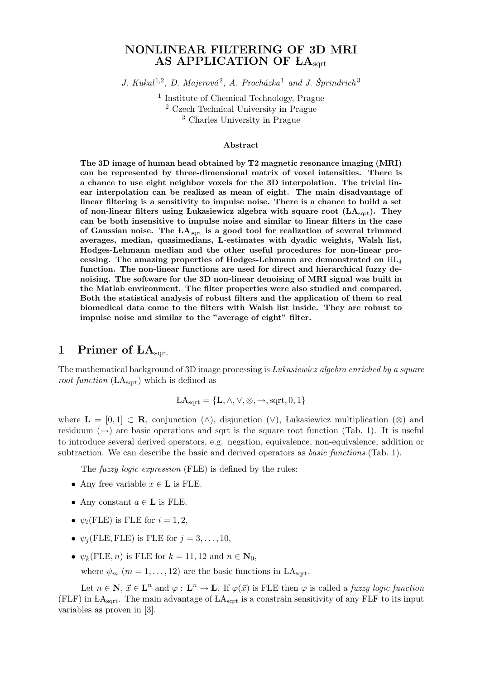## NONLINEAR FILTERING OF 3D MRI AS APPLICATION OF LA<sub>sart</sub>

J. Kukal<sup>1,2</sup>, D. Majerová<sup>2</sup>, A. Procházka<sup>1</sup> and J. Šprindrich<sup>3</sup>

<sup>1</sup> Institute of Chemical Technology, Prague <sup>2</sup> Czech Technical University in Prague <sup>3</sup> Charles University in Prague

#### Abstract

The 3D image of human head obtained by T2 magnetic resonance imaging (MRI) can be represented by three-dimensional matrix of voxel intensities. There is a chance to use eight neighbor voxels for the 3D interpolation. The trivial linear interpolation can be realized as mean of eight. The main disadvantage of linear filtering is a sensitivity to impulse noise. There is a chance to build a set of non-linear filters using Lukasiewicz algebra with square root  $(LA<sub>sort</sub>)$ . They can be both insensitive to impulse noise and similar to linear filters in the case of Gaussian noise. The  $LA_{sqrt}$  is a good tool for realization of several trimmed averages, median, quasimedians, L-estimates with dyadic weights, Walsh list, Hodges-Lehmann median and the other useful procedures for non-linear processing. The amazing properties of Hodges-Lehmann are demonstrated on HL<sup>4</sup> function. The non-linear functions are used for direct and hierarchical fuzzy denoising. The software for the 3D non-linear denoising of MRI signal was built in the Matlab environment. The filter properties were also studied and compared. Both the statistical analysis of robust filters and the application of them to real biomedical data come to the filters with Walsh list inside. They are robust to impulse noise and similar to the "average of eight" filter.

## 1 Primer of  $LA<sub>sort</sub>$

The mathematical background of 3D image processing is *Lukasiewicz algebra enriched by a square root function* ( $LA_{\text{sqrt}}$ ) which is defined as

$$
LA_{sqrt} = \{L, \wedge, \vee, \otimes, \rightarrow, sqrt, 0, 1\}
$$

where  $\mathbf{L} = [0, 1] \subset \mathbf{R}$ , conjunction (∧), disjunction (∨), Lukasiewicz multiplication (⊗) and residuum  $(\rightarrow)$  are basic operations and sqrt is the square root function (Tab. 1). It is useful to introduce several derived operators, e.g. negation, equivalence, non-equivalence, addition or subtraction. We can describe the basic and derived operators as *basic functions* (Tab. 1).

The *fuzzy logic expression* (FLE) is defined by the rules:

- Any free variable  $x \in L$  is FLE.
- Any constant  $a \in L$  is FLE.
- $\psi_i$ (FLE) is FLE for  $i = 1, 2$ ,
- $\psi_j$ (FLE, FLE) is FLE for  $j = 3, \ldots, 10$ ,
- $\psi_k$ (FLE, *n*) is FLE for  $k = 11, 12$  and  $n \in \mathbb{N}_0$ ,
	- where  $\psi_m$  ( $m = 1, \ldots, 12$ ) are the basic functions in LA<sub>sqrt</sub>.

Let  $n \in \mathbb{N}, \, \vec{x} \in \mathbb{L}^n$  and  $\varphi : \mathbb{L}^n \to \mathbb{L}$ . If  $\varphi(\vec{x})$  is FLE then  $\varphi$  is called a *fuzzy logic function* (FLF) in  $LA<sub>sort</sub>$ . The main advantage of  $LA<sub>sort</sub>$  is a constrain sensitivity of any FLF to its input variables as proven in [3].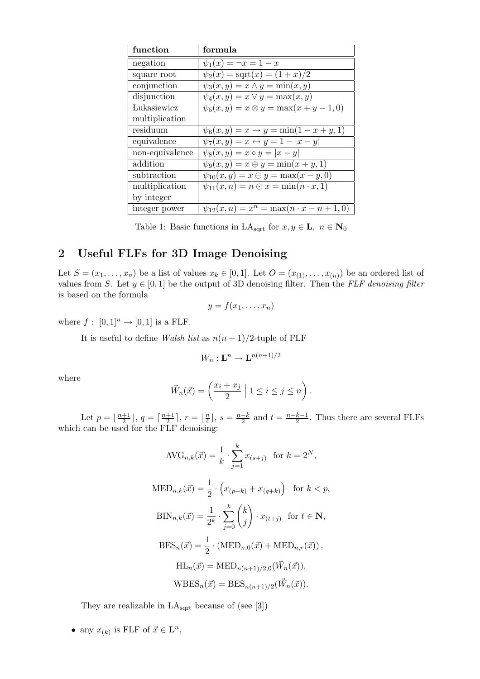| function        | formula                                               |
|-----------------|-------------------------------------------------------|
| negation        | $\psi_1(x) = \neg x = 1 - x$                          |
| square root     | $\psi_2(x) = \text{sqrt}(x) = (1+x)/2$                |
| conjunction     | $\psi_3(x,y) = x \wedge y = \min(x,y)$                |
| disjunction     | $\psi_4(x,y) = x \vee y = \max(x,y)$                  |
| Lukasiewicz     | $\psi_5(x, y) = x \otimes y = \max(x + y - 1, 0)$     |
| multiplication  |                                                       |
| residuum        | $\psi_6(x, y) = x \rightarrow y = \min(1 - x + y, 1)$ |
| equivalence     | $\psi_7(x,y) = x \leftrightarrow y = 1 -  x - y $     |
| non-equivalence | $\psi_8(x, y) = x \circ y =  x - y $                  |
| addition        | $\psi_9(x, y) = x \oplus y = \min(x + y, 1)$          |
| subtraction     | $\psi_{10}(x, y) = x \ominus y = \max(x - y, 0)$      |
| multiplication  | $\psi_{11}(x, n) = n \odot x = \min(n \cdot x, 1)$    |
| by integer      |                                                       |
| integer power   | $\psi_{12}(x, n) = x^n = \max(n \cdot x - n + 1, 0)$  |

Table 1: Basic functions in LA<sub>sqrt</sub> for  $x, y \in L$ ,  $n \in N_0$ 

## 2 Useful FLFs for 3D Image Denoising

Let  $S = (x_1, \ldots, x_n)$  be a list of values  $x_k \in [0, 1]$ . Let  $O = (x_{(1)}, \ldots, x_{(n)})$  be an ordered list of values from S. Let  $y \in [0, 1]$  be the output of 3D denoising filter. Then the FLF denoising filter is based on the formula

$$
y = f(x_1, \ldots, x_n)
$$

where  $f: [0,1]^n \rightarrow [0,1]$  is a FLF.

It is useful to define Walsh list as  $n(n+1)/2$ -tuple of FLF

$$
W_n: \mathbf{L}^n \to \mathbf{L}^{n(n+1)/2}
$$

where

$$
\vec{W}_n(\vec{x}) = \left(\frac{x_i + x_j}{2} \middle| 1 \leq i \leq j \leq n\right).
$$

Let  $p = \frac{n+1}{2}$  $\frac{+1}{2}$ ,  $q = \lceil \frac{n+1}{2} \rceil$  $\frac{+1}{2}$ ],  $r = \lfloor \frac{n}{4} \rfloor$  $\frac{n}{4}$ ,  $s = \frac{n-k}{2}$  $\frac{-k}{2}$  and  $t = \frac{n-k-1}{2}$  $\frac{k-1}{2}$ . Thus there are several FLFs which can be used for the FLF denoising:

$$
\text{AVG}_{n,k}(\vec{x}) = \frac{1}{k} \cdot \sum_{j=1}^{k} x_{(s+j)} \quad \text{for } k = 2^N,
$$
\n
$$
\text{MED}_{n,k}(\vec{x}) = \frac{1}{2} \cdot \left( x_{(p-k)} + x_{(q+k)} \right) \quad \text{for } k < p,
$$
\n
$$
\text{BIN}_{n,k}(\vec{x}) = \frac{1}{2^k} \cdot \sum_{j=0}^{k} \binom{k}{j} \cdot x_{(t+j)} \quad \text{for } t \in \mathbb{N},
$$
\n
$$
\text{BES}_n(\vec{x}) = \frac{1}{2} \cdot \left( \text{MED}_{n,0}(\vec{x}) + \text{MED}_{n,r}(\vec{x}) \right),
$$
\n
$$
\text{HL}_n(\vec{x}) = \text{MED}_{n(n+1)/2,0}(\vec{W}_n(\vec{x})),
$$
\n
$$
\text{WBES}_n(\vec{x}) = \text{BES}_{n(n+1)/2}(\vec{W}_n(\vec{x})).
$$

They are realizable in  $LA_{sqrt}$  because of (see [3])

• any  $x_{(k)}$  is FLF of  $\vec{x} \in \mathbf{L}^n$ ,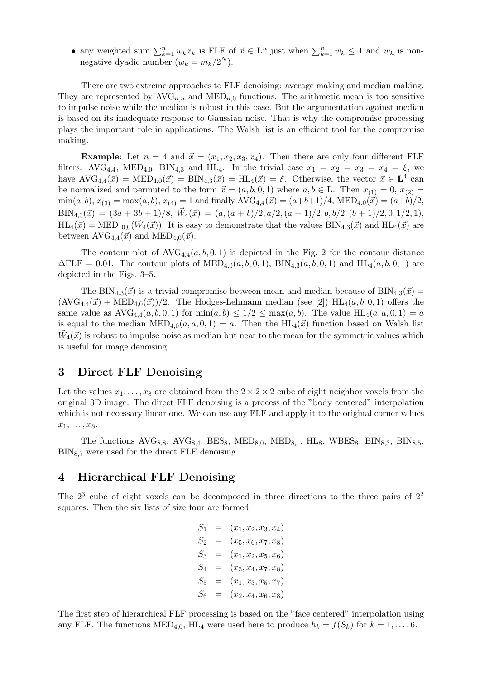• any weighted sum  $\sum_{k=1}^n w_k x_k$  is FLF of  $\vec{x} \in \mathbf{L}^n$  just when  $\sum_{k=1}^n w_k \leq 1$  and  $w_k$  is nonnegative dyadic number  $(w_k = m_k/2^N)$ .

There are two extreme approaches to FLF denoising: average making and median making. They are represented by  $AVG_{n,n}$  and  $MED_{n,0}$  functions. The arithmetic mean is too sensitive to impulse noise while the median is robust in this case. But the argumentation against median is based on its inadequate response to Gaussian noise. That is why the compromise processing plays the important role in applications. The Walsh list is an efficient tool for the compromise making.

**Example:** Let  $n = 4$  and  $\vec{x} = (x_1, x_2, x_3, x_4)$ . Then there are only four different FLF filters: AVG<sub>4,4</sub>, MED<sub>4,0</sub>, BIN<sub>4,3</sub> and HL<sub>4</sub>. In the trivial case  $x_1 = x_2 = x_3 = x_4 = \xi$ , we have  $\text{AVG}_{4,4}(\vec{x}) = \text{MED}_{4,0}(\vec{x}) = \text{BIN}_{4,3}(\vec{x}) = \text{HL}_4(\vec{x}) = \xi$ . Otherwise, the vector  $\vec{x} \in \mathbf{L}^4$  can be normalized and permuted to the form  $\vec{x} = (a, b, 0, 1)$  where  $a, b \in L$ . Then  $x_{(1)} = 0, x_{(2)} =$  $\min(a, b), x_{(3)} = \max(a, b), x_{(4)} = 1$  and finally  $\text{AVG}_{4,4}(\vec{x}) = (a+b+1)/4, \text{MED}_{4,0}(\vec{x}) = (a+b)/2,$  $\text{BIN}_{4,3}(\vec{x}) = (3a + 3b + 1)/8, \ \vec{W}_4(\vec{x}) = (a, (a + b)/2, a/2, (a + 1)/2, b, b/2, (b + 1)/2, 0, 1/2, 1),$  $HL_4(\vec{x}) = \text{MED}_{10,0}(\vec{W}_4(\vec{x}))$ . It is easy to demonstrate that the values  $\text{BIN}_{4,3}(\vec{x})$  and  $\text{HL}_4(\vec{x})$  are between  $AVG_{4,4}(\vec{x})$  and  $MED_{4,0}(\vec{x})$ .

The contour plot of  $AVG_{4,4}(a, b, 0, 1)$  is depicted in the Fig. 2 for the contour distance  $\Delta FLF = 0.01$ . The contour plots of  $\text{MED}_{4,0}(a, b, 0, 1)$ ,  $\text{BIN}_{4,3}(a, b, 0, 1)$  and  $\text{HL}_4(a, b, 0, 1)$  are depicted in the Figs. 3–5.

The BIN<sub>4,3</sub>( $\vec{x}$ ) is a trivial compromise between mean and median because of BIN<sub>4,3</sub>( $\vec{x}$ ) =  $(\text{AVG}_{4,4}(\vec{x}) + \text{MED}_{4,0}(\vec{x}))/2$ . The Hodges-Lehmann median (see [2]) HL<sub>4</sub>(a, b, 0, 1) offers the same value as  $\text{AVG}_{4,4}(a, b, 0, 1)$  for  $\min(a, b) \leq 1/2 \leq \max(a, b)$ . The value  $\text{HL}_4(a, a, 0, 1) = a$ is equal to the median  $\text{MED}_{4,0}(a, a, 0, 1) = a$ . Then the  $\text{HL}_4(\vec{x})$  function based on Walsh list  $\vec{W}_4(\vec{x})$  is robust to impulse noise as median but near to the mean for the symmetric values which is useful for image denoising.

## 3 Direct FLF Denoising

Let the values  $x_1, \ldots, x_8$  are obtained from the  $2 \times 2 \times 2$  cube of eight neighbor voxels from the original 3D image. The direct FLF denoising is a process of the "body centered" interpolation which is not necessary linear one. We can use any FLF and apply it to the original corner values  $x_1, \ldots, x_8.$ 

The functions  $AVG_{8,8}$ ,  $AVG_{8,4}$ ,  $BES_8$ ,  $MED_{8,0}$ ,  $MED_{8,1}$ ,  $HL_8$ ,  $WBES_8$ ,  $BIN_{8,3}$ ,  $BIN_{8,5}$ ,  $\text{BIN}_{8,7}$  were used for the direct FLF denoising.

### 4 Hierarchical FLF Denoising

The  $2<sup>3</sup>$  cube of eight voxels can be decomposed in three directions to the three pairs of  $2<sup>2</sup>$ squares. Then the six lists of size four are formed

> $S_1 = (x_1, x_2, x_3, x_4)$  $S_2 = (x_5, x_6, x_7, x_8)$  $S_3 = (x_1, x_2, x_5, x_6)$  $S_4 = (x_3, x_4, x_7, x_8)$  $S_5 = (x_1, x_3, x_5, x_7)$  $S_6 = (x_2, x_4, x_6, x_8)$

The first step of hierarchical FLF processing is based on the "face centered" interpolation using any FLF. The functions  $\text{MED}_{4,0}$ , HL<sub>4</sub> were used here to produce  $h_k = f(S_k)$  for  $k = 1, \ldots, 6$ .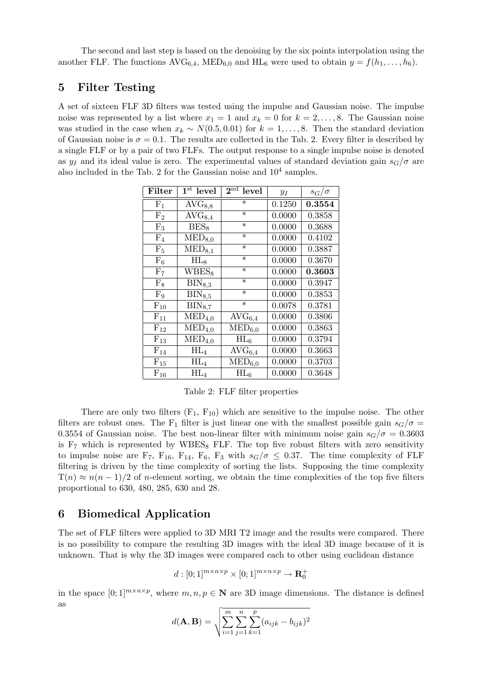The second and last step is based on the denoising by the six points interpolation using the another FLF. The functions  $AVG_{6,4}$ , MED<sub>6,0</sub> and HL<sub>6</sub> were used to obtain  $y = f(h_1, \ldots, h_6)$ .

## 5 Filter Testing

A set of sixteen FLF 3D filters was tested using the impulse and Gaussian noise. The impulse noise was represented by a list where  $x_1 = 1$  and  $x_k = 0$  for  $k = 2, ..., 8$ . The Gaussian noise was studied in the case when  $x_k \sim N(0.5, 0.01)$  for  $k = 1, \ldots, 8$ . Then the standard deviation of Gaussian noise is  $\sigma = 0.1$ . The results are collected in the Tab. 2. Every filter is described by a single FLF or by a pair of two FLFs. The output response to a single impulse noise is denoted as  $y_I$  and its ideal value is zero. The experimental values of standard deviation gain  $s_G/\sigma$  are also included in the Tab. 2 for the Gaussian noise and  $10^4$  samples.

| Filter            | $1st$ level                   | $2^{\rm nd}$<br>level | $y_I$  | $s_G/\sigma$ |
|-------------------|-------------------------------|-----------------------|--------|--------------|
| F <sub>1</sub>    | $AVG_{8,8}$                   | $\ast$                | 0.1250 | 0.3554       |
| F <sub>2</sub>    | $\overline{\text{AVG}_{8,4}}$ | $\ast$                | 0.0000 | 0.3858       |
| $F_3$             | $BES_8$                       | $\ast$                | 0.0000 | 0.3688       |
| $F_4$             | $\overline{\text{MED}_{8,0}}$ | $\ast$                | 0.0000 | 0.4102       |
| F <sub>5</sub>    | $MED_{8,1}$                   | $\ast$                | 0.0000 | 0.3887       |
| $F_6$             | $HL_8$                        | $\ast$                | 0.0000 | 0.3670       |
| F <sub>7</sub>    | $WBES_8$                      | $\ast$                | 0.0000 | 0.3603       |
| $F_8$             | $\text{BIN}_{8,3}$            | $\ast$                | 0.0000 | 0.3947       |
| $F_9$             | $\text{BIN}_{8,5}$            | $\ast$                | 0.0000 | 0.3853       |
| $\mathrm{F}_{10}$ | $\text{BIN}_{8,7}$            | $\ast$                | 0.0078 | 0.3781       |
| $F_{11}$          | $\mathrm{MED}_{4,0}$          | $AVG_{6,4}$           | 0.0000 | 0.3806       |
| $F_{12}$          | $\mathrm{MED}_{4,0}$          | $\mathrm{MED}_{6,0}$  | 0.0000 | 0.3863       |
| $\mathrm{F}_{13}$ | $\mathrm{MED}_{4,0}$          | $HL_6$                | 0.0000 | 0.3794       |
| $F_{14}$          | $HL_4$                        | $AVG_{6,4}$           | 0.0000 | 0.3663       |
| $F_{15}$          | $HL_4$                        | $\mathrm{MED}_{6,0}$  | 0.0000 | 0.3703       |
| $\mathrm{F}_{16}$ | $\rm HL_4$                    | $HL_6$                | 0.0000 | 0.3648       |

Table 2: FLF filter properties

There are only two filters  $(F_1, F_{10})$  which are sensitive to the impulse noise. The other filters are robust ones. The F<sub>1</sub> filter is just linear one with the smallest possible gain  $s_G/\sigma$ 0.3554 of Gaussian noise. The best non-linear filter with minimum noise gain  $s_G/\sigma = 0.3603$ is  $F<sub>7</sub>$  which is represented by WBES<sub>8</sub> FLF. The top five robust filters with zero sensitivity to impulse noise are F<sub>7</sub>, F<sub>16</sub>, F<sub>14</sub>, F<sub>6</sub>, F<sub>3</sub> with  $s_G/\sigma \leq 0.37$ . The time complexity of FLF filtering is driven by the time complexity of sorting the lists. Supposing the time complexity  $T(n) \approx n(n-1)/2$  of n-element sorting, we obtain the time complexities of the top five filters proportional to 630, 480, 285, 630 and 28.

## 6 Biomedical Application

The set of FLF filters were applied to 3D MRI T2 image and the results were compared. There is no possibility to compare the resulting 3D images with the ideal 3D image because of it is unknown. That is why the 3D images were compared each to other using euclidean distance

$$
d:[0;1]^{m\times n\times p}\times [0;1]^{m\times n\times p}\to \mathbf{R}^+_0
$$

in the space  $[0;1]^{m \times n \times p}$ , where  $m, n, p \in \mathbb{N}$  are 3D image dimensions. The distance is defined as

$$
d(\mathbf{A}, \mathbf{B}) = \sqrt{\sum_{i=1}^{m} \sum_{j=1}^{n} \sum_{k=1}^{p} (a_{ijk} - b_{ijk})^2}
$$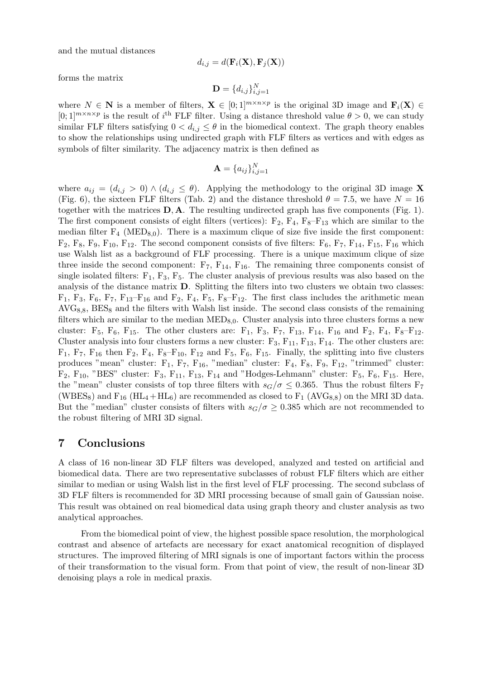and the mutual distances

$$
d_{i,j} = d(\mathbf{F}_i(\mathbf{X}), \mathbf{F}_j(\mathbf{X}))
$$

forms the matrix

$$
\mathbf{D} = \{d_{i,j}\}_{i,j=1}^N
$$

where  $N \in \mathbb{N}$  is a member of filters,  $\mathbf{X} \in [0,1]^{m \times n \times p}$  is the original 3D image and  $\mathbf{F}_i(\mathbf{X}) \in$  $[0;1]^{m \times n \times p}$  is the result of i<sup>th</sup> FLF filter. Using a distance threshold value  $\theta > 0$ , we can study similar FLF filters satisfying  $0 < d_{i,j} \leq \theta$  in the biomedical context. The graph theory enables to show the relationships using undirected graph with FLF filters as vertices and with edges as symbols of filter similarity. The adjacency matrix is then defined as

$$
\mathbf{A} = \{a_{ij}\}_{i,j=1}^N
$$

where  $a_{ij} = (d_{i,j} > 0) \wedge (d_{i,j} \leq \theta)$ . Applying the methodology to the original 3D image X (Fig. 6), the sixteen FLF filters (Tab. 2) and the distance threshold  $\theta = 7.5$ , we have  $N = 16$ together with the matrices  $D, A$ . The resulting undirected graph has five components (Fig. 1). The first component consists of eight filters (vertices):  $F_2$ ,  $F_4$ ,  $F_8-F_{13}$  which are similar to the median filter  $F_4$  (MED<sub>8,0</sub>). There is a maximum clique of size five inside the first component:  $F_2, F_8, F_9, F_{10}, F_{12}$ . The second component consists of five filters:  $F_6, F_7, F_{14}, F_{15}, F_{16}$  which use Walsh list as a background of FLF processing. There is a unique maximum clique of size three inside the second component:  $F_7$ ,  $F_{14}$ ,  $F_{16}$ . The remaining three components consist of single isolated filters:  $F_1$ ,  $F_3$ ,  $F_5$ . The cluster analysis of previous results was also based on the analysis of the distance matrix D. Splitting the filters into two clusters we obtain two classes:  $F_1$ ,  $F_3$ ,  $F_6$ ,  $F_7$ ,  $F_{13}-F_{16}$  and  $F_2$ ,  $F_4$ ,  $F_5$ ,  $F_8-F_{12}$ . The first class includes the arithmetic mean  $AVG_{8,8}$ ,  $BES_8$  and the filters with Walsh list inside. The second class consists of the remaining filters which are similar to the median  $\text{MED}_{8,0}$ . Cluster analysis into three clusters forms a new cluster:  $F_5$ ,  $F_6$ ,  $F_{15}$ . The other clusters are:  $F_1$ ,  $F_3$ ,  $F_7$ ,  $F_{13}$ ,  $F_{14}$ ,  $F_{16}$  and  $F_2$ ,  $F_4$ ,  $F_8-F_{12}$ . Cluster analysis into four clusters forms a new cluster:  $F_3$ ,  $F_{11}$ ,  $F_{13}$ ,  $F_{14}$ . The other clusters are:  $F_1$ ,  $F_7$ ,  $F_{16}$  then  $F_2$ ,  $F_4$ ,  $F_8-F_{10}$ ,  $F_{12}$  and  $F_5$ ,  $F_6$ ,  $F_{15}$ . Finally, the splitting into five clusters produces "mean" cluster: F1, F7, F16, "median" cluster: F4, F8, F9, F12, "trimmed" cluster:  $F_2$ ,  $F_{10}$ , "BES" cluster:  $F_3$ ,  $F_{11}$ ,  $F_{13}$ ,  $F_{14}$  and "Hodges-Lehmann" cluster:  $F_5$ ,  $F_6$ ,  $F_{15}$ . Here, the "mean" cluster consists of top three filters with  $s_G/\sigma \leq 0.365$ . Thus the robust filters F<sub>7</sub> (WBES<sub>8</sub>) and  $F_{16}$  (HL<sub>4</sub> + HL<sub>6</sub>) are recommended as closed to  $F_1$  (AVG<sub>8,8</sub>) on the MRI 3D data. But the "median" cluster consists of filters with  $s_G/\sigma \geq 0.385$  which are not recommended to the robust filtering of MRI 3D signal.

### 7 Conclusions

A class of 16 non-linear 3D FLF filters was developed, analyzed and tested on artificial and biomedical data. There are two representative subclasses of robust FLF filters which are either similar to median or using Walsh list in the first level of FLF processing. The second subclass of 3D FLF filters is recommended for 3D MRI processing because of small gain of Gaussian noise. This result was obtained on real biomedical data using graph theory and cluster analysis as two analytical approaches.

From the biomedical point of view, the highest possible space resolution, the morphological contrast and absence of artefacts are necessary for exact anatomical recognition of displayed structures. The improved filtering of MRI signals is one of important factors within the process of their transformation to the visual form. From that point of view, the result of non-linear 3D denoising plays a role in medical praxis.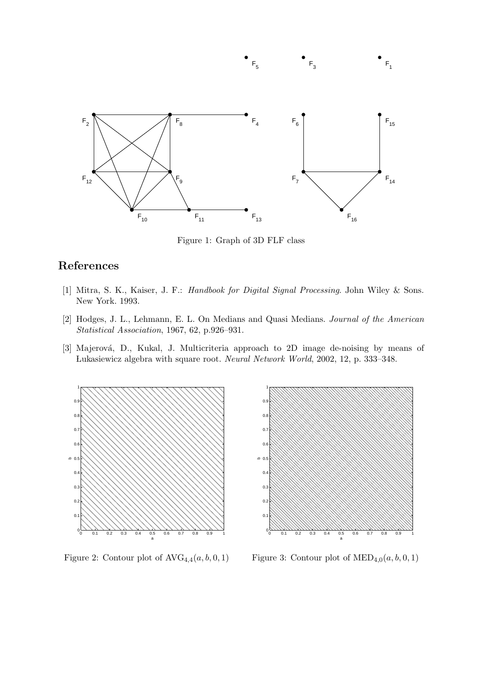

 $F_{5}$ 

Figure 1: Graph of 3D FLF class

# References

- [1] Mitra, S. K., Kaiser, J. F.: Handbook for Digital Signal Processing. John Wiley & Sons. New York. 1993.
- [2] Hodges, J. L., Lehmann, E. L. On Medians and Quasi Medians. Journal of the American Statistical Association, 1967, 62, p.926–931.
- [3] Majerová, D., Kukal, J. Multicriteria approach to 2D image de-noising by means of ÃLukasiewicz algebra with square root. Neural Network World, 2002, 12, p. 333–348.



Figure 2: Contour plot of  $AVG_{4,4}(a, b, 0, 1)$ 



 $F_{1}$ 

 $F_{3}$ 

Figure 3: Contour plot of  $\mathrm{MED}_{4,0}(a, b, 0, 1)$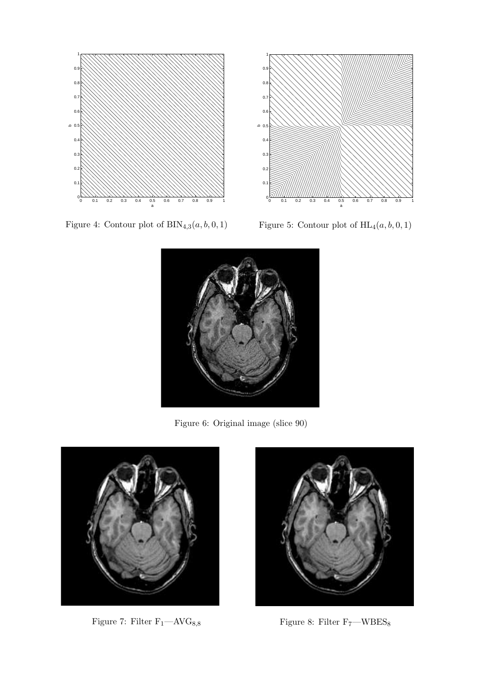

Figure 4: Contour plot of  $\text{BIN}_{4,3}(a, b, 0, 1)$ 



Figure 5: Contour plot of  $HL_4(a, b, 0, 1)$ 



Figure 6: Original image (slice 90)



Figure 7: Filter  $\rm F_{1}-AVG_{8,8}$   $\qquad \qquad$  Figure 8: Filter  $\rm F_{7}-WBES_{8}$ 

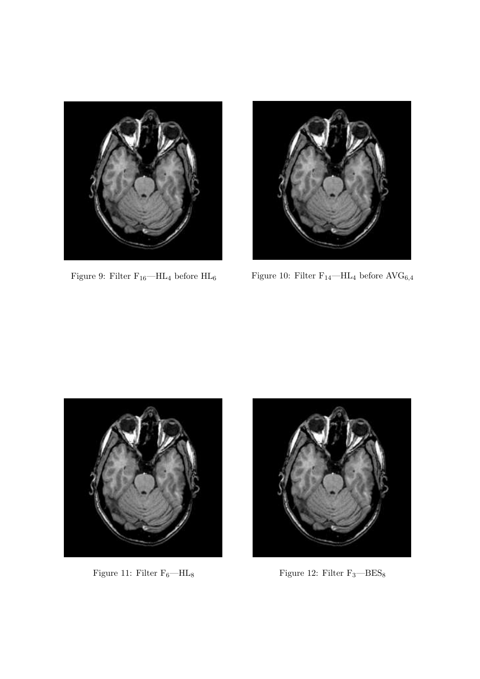



Figure 9: Filter  $\rm F_{16}$ —HL $\rm 4$  before  $\rm HL_6$   $\rm F_{14}$   $\rm .$  Filter F $\rm _{14}$   $\rm -HL_4$  before  $\rm AVG_{6,4}$ 





Figure 11: Filter  $\rm F_6{-}HL_8$   $\rm{Figure}$  12: Filter  $\rm F_3{-}BES_8$